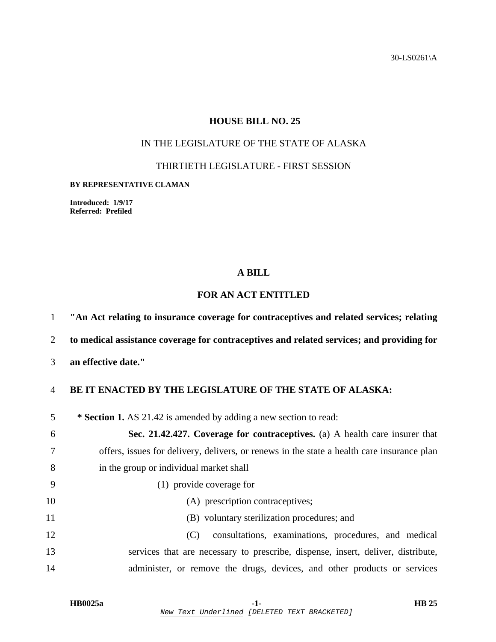30-LS0261\A

## **HOUSE BILL NO. 25**

# IN THE LEGISLATURE OF THE STATE OF ALASKA

THIRTIETH LEGISLATURE - FIRST SESSION

#### **BY REPRESENTATIVE CLAMAN**

**Introduced: 1/9/17 Referred: Prefiled** 

### **A BILL**

# **FOR AN ACT ENTITLED**

1 **"An Act relating to insurance coverage for contraceptives and related services; relating** 

2 **to medical assistance coverage for contraceptives and related services; and providing for** 

3 **an effective date."** 

## 4 **BE IT ENACTED BY THE LEGISLATURE OF THE STATE OF ALASKA:**

5 **\* Section 1.** AS 21.42 is amended by adding a new section to read:

|    | Sec. 21.42.427. Coverage for contraceptives. (a) A health care insurer that                |
|----|--------------------------------------------------------------------------------------------|
|    | offers, issues for delivery, delivers, or renews in the state a health care insurance plan |
| -8 | in the group or individual market shall                                                    |
|    | (1) provide coverage for                                                                   |
| 10 | (A) prescription contraceptives;                                                           |

11 (B) voluntary sterilization procedures; and

12 (C) consultations, examinations, procedures, and medical 13 services that are necessary to prescribe, dispense, insert, deliver, distribute, 14 administer, or remove the drugs, devices, and other products or services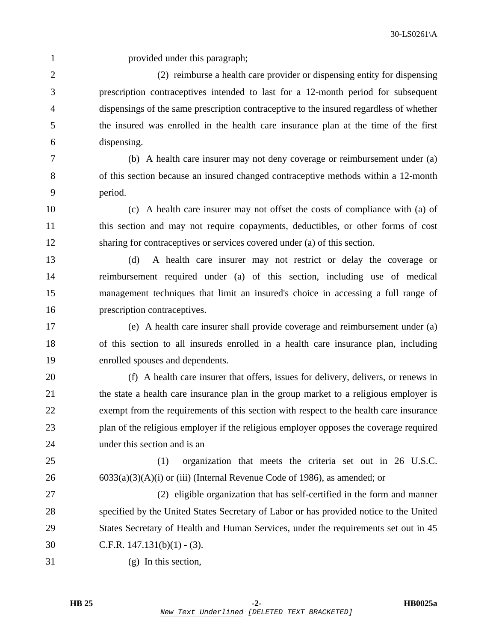1 provided under this paragraph;

2 (2) reimburse a health care provider or dispensing entity for dispensing 3 prescription contraceptives intended to last for a 12-month period for subsequent 4 dispensings of the same prescription contraceptive to the insured regardless of whether 5 the insured was enrolled in the health care insurance plan at the time of the first 6 dispensing.

7 (b) A health care insurer may not deny coverage or reimbursement under (a) 8 of this section because an insured changed contraceptive methods within a 12-month 9 period.

10 (c) A health care insurer may not offset the costs of compliance with (a) of 11 this section and may not require copayments, deductibles, or other forms of cost 12 sharing for contraceptives or services covered under (a) of this section.

13 (d) A health care insurer may not restrict or delay the coverage or 14 reimbursement required under (a) of this section, including use of medical 15 management techniques that limit an insured's choice in accessing a full range of 16 prescription contraceptives.

17 (e) A health care insurer shall provide coverage and reimbursement under (a) 18 of this section to all insureds enrolled in a health care insurance plan, including 19 enrolled spouses and dependents.

20 (f) A health care insurer that offers, issues for delivery, delivers, or renews in 21 the state a health care insurance plan in the group market to a religious employer is 22 exempt from the requirements of this section with respect to the health care insurance 23 plan of the religious employer if the religious employer opposes the coverage required 24 under this section and is an

25 (1) organization that meets the criteria set out in 26 U.S.C. 26 6033(a)(3)(A)(i) or (iii) (Internal Revenue Code of 1986), as amended; or

27 (2) eligible organization that has self-certified in the form and manner 28 specified by the United States Secretary of Labor or has provided notice to the United 29 States Secretary of Health and Human Services, under the requirements set out in 45 30 C.F.R. 147.131(b)(1) - (3).

31 (g) In this section,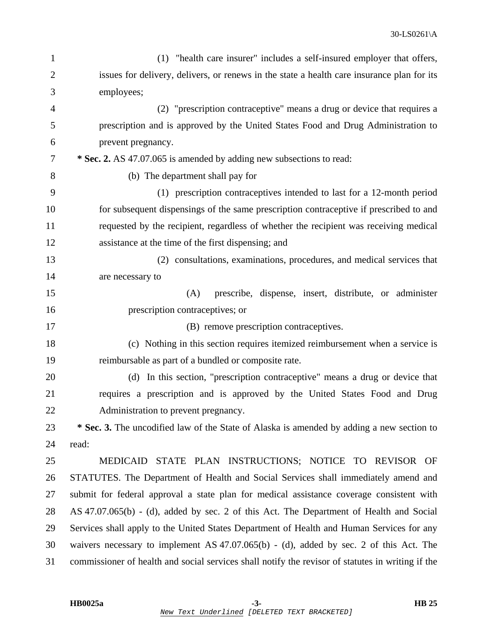| $\mathbf{1}$   | (1) "health care insurer" includes a self-insured employer that offers,                           |
|----------------|---------------------------------------------------------------------------------------------------|
| $\overline{2}$ | issues for delivery, delivers, or renews in the state a health care insurance plan for its        |
| 3              | employees;                                                                                        |
| 4              | (2) "prescription contraceptive" means a drug or device that requires a                           |
| 5              | prescription and is approved by the United States Food and Drug Administration to                 |
| 6              | prevent pregnancy.                                                                                |
| 7              | * Sec. 2. AS 47.07.065 is amended by adding new subsections to read:                              |
| 8              | (b) The department shall pay for                                                                  |
| 9              | (1) prescription contraceptives intended to last for a 12-month period                            |
| 10             | for subsequent dispensings of the same prescription contraceptive if prescribed to and            |
| 11             | requested by the recipient, regardless of whether the recipient was receiving medical             |
| 12             | assistance at the time of the first dispensing; and                                               |
| 13             | (2) consultations, examinations, procedures, and medical services that                            |
| 14             | are necessary to                                                                                  |
| 15             | prescribe, dispense, insert, distribute, or administer<br>(A)                                     |
| 16             | prescription contraceptives; or                                                                   |
| 17             | (B) remove prescription contraceptives.                                                           |
| 18             | (c) Nothing in this section requires itemized reimbursement when a service is                     |
| 19             | reimbursable as part of a bundled or composite rate.                                              |
| 20             | (d) In this section, "prescription contraceptive" means a drug or device that                     |
| 21             | requires a prescription and is approved by the United States Food and Drug                        |
| 22             | Administration to prevent pregnancy.                                                              |
| 23             | * Sec. 3. The uncodified law of the State of Alaska is amended by adding a new section to         |
| 24             | read:                                                                                             |
| 25             | MEDICAID STATE PLAN INSTRUCTIONS; NOTICE TO REVISOR OF                                            |
| 26             | STATUTES. The Department of Health and Social Services shall immediately amend and                |
| 27             | submit for federal approval a state plan for medical assistance coverage consistent with          |
| 28             | AS 47.07.065(b) - (d), added by sec. 2 of this Act. The Department of Health and Social           |
| 29             | Services shall apply to the United States Department of Health and Human Services for any         |
| 30             | waivers necessary to implement AS 47.07.065(b) - (d), added by sec. 2 of this Act. The            |
| 31             | commissioner of health and social services shall notify the revisor of statutes in writing if the |